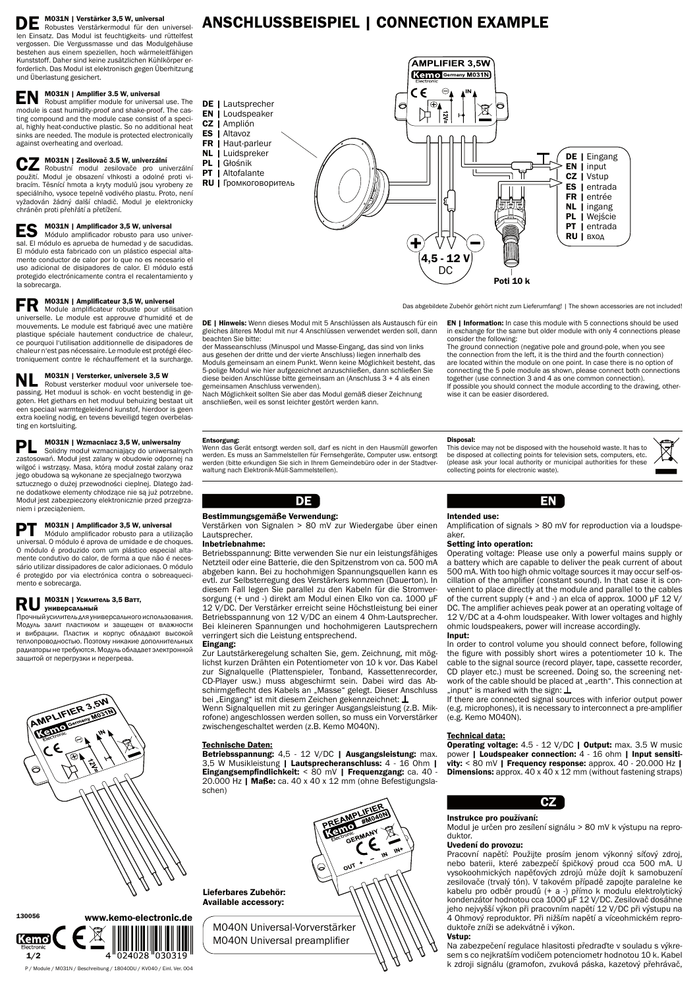# M031N | Verstärker 3,5 W, universal

Robustes Verstärkermodul für den universellen Einsatz. Das Modul ist feuchtigkeits- und rüttelfest vergossen. Die Vergussmasse und das Modulgehäuse bestehen aus einem speziellen, hoch wärmeleitfähigen Kunststoff. Daher sind keine zusätzlichen Kühlkörper erforderlich. Das Modul ist elektronisch gegen Überhitzung und Überlastung gesichert.

# **EN** M031N | Amplifier 3.5 W, universal

 Robust amplifier module for universal use. The module is cast humidity-proof and shake-proof. The casting compound and the module case consist of a special, highly heat-conductive plastic. So no additional heat sinks are needed. The module is protected electronically against overheating and overload.

### M031N | Zesilovač 3.5 W, univerzální

ES M031N | Amplificador 3,5 W, universal<br>
Módulo amplificador robusto para uso universal. El módulo es aprueba de humedad y de sacudidas. El módulo esta fabricado con un plástico especial altamente conductor de calor por lo que no es necesario el uso adicional de disipadores de calor. El módulo está protegido electrónicamente contra el recalentamiento y la sobrecarga.

# **FR** M031N | Amplificateur 3,5 W, universel

 Robustní modul zesilovače pro univerzální použití. Modul je obsazení vlhkosti a odolné proti vibracím. Těsnící hmota a kryty modulů jsou vyrobeny ze speciálního, vysoce tepelně vodivého plastu. Proto, není vyžadován žádný další chladič. Modul je elektronicky chráněn proti přehřátí a přetížení.

M031N | Versterker, universele 3,5 W Robust versterker moduul voor universele toepassing. Het moduul is schok- en vocht bestendig in gegoten. Het giethars en het moduul behuizing bestaat uit een speciaal warmtegeleidend kunstof, hierdoor is geen extra koeling nodig, en tevens beveiligd tegen overbelasting en kortsluiting.

**PL** M031N | Wzmacniacz 3,5 W, uniwersalny<br>
Solidny moduł wzmacniający do uniwersalnych<br>
Matuki technologie w choracijne zastosowań. Moduł jest zalany w obudowie odpornej na wilgoć i wstrząsy. Masa, którą moduł został zalany oraz jego obudowa są wykonane ze specjalnego tworzywa sztucznego o dużej przewodności cieplnej. Dlatego żadne dodatkowe elementy chłodzące nie są już potrzebne. Moduł jest zabezpieczony elektronicznie przed przegrzaniem i przeciążeniem.

**PT** M031N | Amplificador 3,5 W, universal<br>
Módulo amplificador robusto para a utilização universal. O módulo é aprova de umidade e de choques. O módulo é produzido com um plástico especial altamente condutivo do calor, de forma a que não é necessário utilizar dissipadores de calor adicionaes. O módulo é protegido por via electrónica contra o sobreaquecimento e sobrecarga.

### **M031N | Усилитель 3,5 Ватт,**  универсальный

 Module amplificateur robuste pour utilisation universelle. Le module est approuve d'humidité et de mouvements. Le module est fabriqué avec une matière plastique spéciale hautement conductrice de chaleur, ce pourquoi l'utilisation additionnelle de disipadores de chaleur n'est pas nécessaire. Le module est protégé électroniquement contre le réchauffement et la surcharge.

> Zur Lautstärkeregelung schalten Sie, gem. Zeichnung, mit möglichst kurzen Drähten ein Potentiometer von 10 k vor. Das Kabel zur Signalquelle (Plattenspieler, Tonband, Kassettenrecorder, CD-Player usw.) muss abgeschirmt sein. Dabei wird das Abschirmgeflecht des Kabels an "Masse" gelegt. Dieser Anschluss bei "Eingang" ist mit diesem Zeichen gekennzeichnet:  $\perp$

> Betriebsspannung: 4,5 - 12 V/DC | Ausgangsleistung: max. 3,5 W Musikleistung | Lautsprecheranschluss: 4 - 16 Ohm | Eingangsempfindlichkeit: < 80 mV | Frequenzgang: ca. 40 - 20.000 Hz | Maße: ca. 40 x 40 x 12 mm (ohne Befestigungslaschen)



In order to control volume you should connect before, following the figure with possibly short wires a potentiometer 10 k. The cable to the signal source (record player, tape, cassette recorder, CD player etc.) must be screened. Doing so, the screening network of the cable should be placed at "earth". This connection at

Прочныйусилитель дляуниверсальногоиспользования. Модуль залит пластиком и защещен от влажности и вибрации. Пластик и корпус обладают высокой теплопроводностью. Поэтому никакие дополнительных радиаторыне требуются. Модуль обладает электронной защитой от перегрузки и перегрева.

# AMPLIFIER 3,5W AMPLIT

# ANSCHLUSSBEISPIEL | CONNECTION EXAMPLE

P / Module / M031N / Beschreibung / 18040DU / KV040 / Einl. Ver. 004

130056

 $1/2$ 

<u>Kemo</u>



#### Bestimmungsgemäße Verwendung:

Verstärken von Signalen > 80 mV zur Wiedergabe über einen Lautsprecher.

#### Inbetriebnahme:

Betriebsspannung: Bitte verwenden Sie nur ein leistungsfähiges Netzteil oder eine Batterie, die den Spitzenstrom von ca. 500 mA abgeben kann. Bei zu hochohmigen Spannungsquellen kann es evtl. zur Selbsterregung des Verstärkers kommen (Dauerton). In diesem Fall legen Sie parallel zu den Kabeln für die Stromversorgung (+ und -) direkt am Modul einen Elko von ca. 1000 µF 12 V/DC. Der Verstärker erreicht seine Höchstleistung bei einer Betriebsspannung von 12 V/DC an einem 4 Ohm-Lautsprecher. Bei kleineren Spannungen und hochohmigeren Lautsprechern verringert sich die Leistung entsprechend.

DE | Hinweis: Wenn dieses Modul mit 5 Anschlüssen als Austausch für ein gleiches älteres Modul mit nur 4 Anschlüssen verwendet werden soll, dann beachten Sie bitte:

#### Eingang:

Wenn Signalquellen mit zu geringer Ausgangsleistung (z.B. Mikrofone) angeschlossen werden sollen, so muss ein Vorverstärker zwischengeschaltet werden (z.B. Kemo M040N).

## Technische Daten:

EN

Intended use:

Amplification of signals > 80 mV for reproduction via a loudspe-

aker.

Setting into operation:

Operating voltage: Please use only a powerful mains supply or a battery which are capable to deliver the peak current of about 500 mA. With too high ohmic voltage sources it may occur self-oscillation of the amplifier (constant sound). In that case it is convenient to place directly at the module and parallel to the cables of the current supply (+ and -) an elca of approx. 1000 µF 12 V/ DC. The amplifier achieves peak power at an operating voltage of 12 V/DC at a 4-ohm loudspeaker. With lower voltages and highly

ohmic loudspeakers, power will increase accordingly.

Input:

If there are connected signal sources with inferior output power (e.g. microphones), it is necessary to interconnect a pre-amplifier



(e.g. Kemo M040N).

"input" is marked with the sign:  $\perp$ 

Operating voltage: 4.5 - 12 V/DC | Output: max. 3.5 W music power | Loudspeaker connection: 4 - 16 ohm | Input sensitivity:  $< 80$  mV | Frequency response: approx.  $40 - 20.000$  Hz | **Dimensions:** approx. 40 x 40 x 12 mm (without fastening straps)



## Technical data:

www.kemo-electronic.de M040N Universal-Vorverstärker M040N Universal preamplifier



#### Instrukce pro používaní:

Modul je určen pro zesílení signálu > 80 mV k výstupu na reproduktor.

#### Uvedení do provozu:

Pracovní napětí: Použijte prosím jenom výkonný síťový zdroj, nebo baterii, které zabezpečí špičkový proud cca 500 mA. U vysokoohmických napěťových zdrojů může dojít k samobuzení zesilovače (trvalý tón). V takovém případě zapojte paralelne ke kabelu pro odběr proudů (+ a -) přímo k modulu elektrolytický kondenzátor hodnotou cca 1000 µF 12 V/DC. Zesilovač dosáhne jeho nejvyšší výkon při pracovním napětí 12 V/DC při výstupu na 4 Ohmový reproduktor. Při nižším napětí a víceohmickém reproduktoře zníži se adekvátně i výkon.

#### Vstup:

Na zabezpečení regulace hlasitosti předraďte v souladu s výkresem s co nejkratším vodičem potenciometr hodnotou 10 k. Kabel k zdroji signálu (gramofon, zvuková páska, kazetový přehrávač,

Das abgebildete Zubehör gehört nicht zum Lieferumfang! | The shown accessories are not included!

Poti 10 k



der Masseanschluss (Minuspol und Masse-Eingang, das sind von links aus gesehen der dritte und der vierte Anschluss) liegen innerhalb des Moduls gemeinsam an einem Punkt. Wenn keine Möglichkeit besteht, das 5-polige Modul wie hier aufgezeichnet anzuschließen, dann schließen Sie diese beiden Anschlüsse bitte gemeinsam an (Anschluss 3 + 4 als einen gemeinsamen Anschluss verwenden).

Nach Möglichkeit sollten Sie aber das Modul gemäß dieser Zeichnung anschließen, weil es sonst leichter gestört werden kann.

EN | Information: In case this module with 5 connections should be used in exchange for the same but older module with only 4 connections please consider the following:

The ground connection (negative pole and ground-pole, when you see the connection from the left, it is the third and the fourth connection) are located within the module on one point. In case there is no option of connecting the 5 pole module as shown, please connect both connections together (use connection 3 and 4 as one common connection). If possible you should connect the module according to the drawing, otherwise it can be easier disordered.

Lieferbares Zubehör: Available accessory:

#### Entsorgung:

Wenn das Gerät entsorgt werden soll, darf es nicht in den Hausmüll geworfen werden. Es muss an Sammelstellen für Fernsehgeräte, Computer usw. entsorgt werden (bitte erkundigen Sie sich in Ihrem Gemeindebüro oder in der Stadtverwaltung nach Elektronik-Müll-Sammelstellen).

#### Disposal:

This device may not be disposed with the household waste. It has to be disposed at collecting points for television sets, computers, etc. (please ask your local authority or municipal authorities for these collecting points for electronic waste).